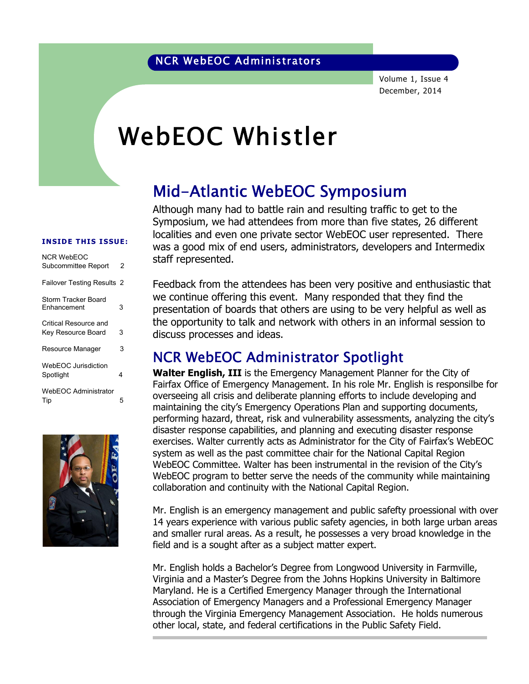Volume 1, Issue 4 December, 2014

# WebEOC Whistler

## Mid-Atlantic WebEOC Symposium

Although many had to battle rain and resulting traffic to get to the Symposium, we had attendees from more than five states, 26 different localities and even one private sector WebEOC user represented. There was a good mix of end users, administrators, developers and Intermedix staff represented.

#### INSIDE THIS ISSUE:

| NCR WebFOC                         |   |
|------------------------------------|---|
| Subcommittee Report                | 2 |
| <b>Failover Testing Results 2</b>  |   |
| Storm Tracker Board<br>Enhancement | 3 |
| Critical Resource and              |   |
| Key Resource Board                 | 3 |
| Resource Manager                   | 3 |
| WebEOC Jurisdiction                |   |
| Spotlight                          | 4 |
| <b>WebEOC Administrator</b>        |   |
| Tip                                | 5 |



Feedback from the attendees has been very positive and enthusiastic that we continue offering this event. Many responded that they find the presentation of boards that others are using to be very helpful as well as the opportunity to talk and network with others in an informal session to discuss processes and ideas.

#### NCR WebEOC Administrator Spotlight

Walter English, III is the Emergency Management Planner for the City of Fairfax Office of Emergency Management. In his role Mr. English is responsilbe for overseeing all crisis and deliberate planning efforts to include developing and maintaining the city's Emergency Operations Plan and supporting documents, performing hazard, threat, risk and vulnerability assessments, analyzing the city's disaster response capabilities, and planning and executing disaster response exercises. Walter currently acts as Administrator for the City of Fairfax's WebEOC system as well as the past committee chair for the National Capital Region WebEOC Committee. Walter has been instrumental in the revision of the City's WebEOC program to better serve the needs of the community while maintaining collaboration and continuity with the National Capital Region.

Mr. English is an emergency management and public safefty proessional with over 14 years experience with various public safety agencies, in both large urban areas and smaller rural areas. As a result, he possesses a very broad knowledge in the field and is a sought after as a subject matter expert.

Mr. English holds a Bachelor's Degree from Longwood University in Farmville, Virginia and a Master's Degree from the Johns Hopkins University in Baltimore Maryland. He is a Certified Emergency Manager through the International Association of Emergency Managers and a Professional Emergency Manager through the Virginia Emergency Management Association. He holds numerous other local, state, and federal certifications in the Public Safety Field.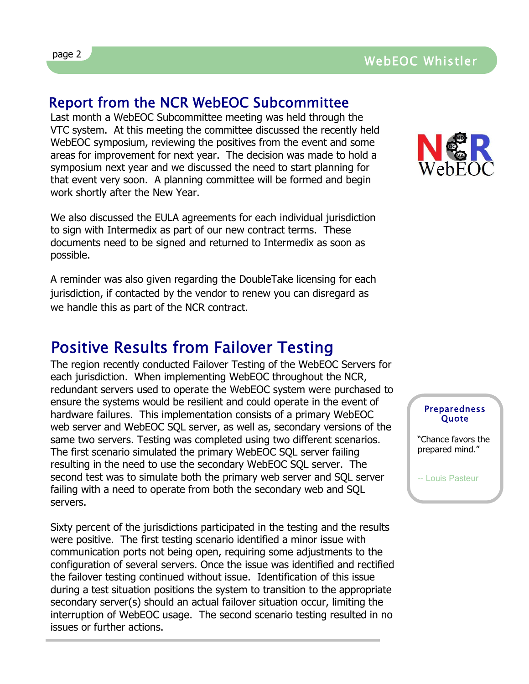#### Report from the NCR WebEOC Subcommittee

Last month a WebEOC Subcommittee meeting was held through the VTC system. At this meeting the committee discussed the recently held WebEOC symposium, reviewing the positives from the event and some areas for improvement for next year. The decision was made to hold a symposium next year and we discussed the need to start planning for that event very soon. A planning committee will be formed and begin work shortly after the New Year.

We also discussed the EULA agreements for each individual jurisdiction to sign with Intermedix as part of our new contract terms. These documents need to be signed and returned to Intermedix as soon as possible.

A reminder was also given regarding the DoubleTake licensing for each jurisdiction, if contacted by the vendor to renew you can disregard as we handle this as part of the NCR contract.

## Positive Results from Failover Testing

The region recently conducted Failover Testing of the WebEOC Servers for each jurisdiction. When implementing WebEOC throughout the NCR, redundant servers used to operate the WebEOC system were purchased to ensure the systems would be resilient and could operate in the event of hardware failures. This implementation consists of a primary WebEOC web server and WebEOC SQL server, as well as, secondary versions of the same two servers. Testing was completed using two different scenarios. The first scenario simulated the primary WebEOC SQL server failing resulting in the need to use the secondary WebEOC SQL server. The second test was to simulate both the primary web server and SQL server failing with a need to operate from both the secondary web and SQL servers.

Sixty percent of the jurisdictions participated in the testing and the results were positive. The first testing scenario identified a minor issue with communication ports not being open, requiring some adjustments to the configuration of several servers. Once the issue was identified and rectified the failover testing continued without issue. Identification of this issue during a test situation positions the system to transition to the appropriate secondary server(s) should an actual failover situation occur, limiting the interruption of WebEOC usage. The second scenario testing resulted in no issues or further actions.



#### Preparedness **Quote**

"Chance favors the prepared mind."

-- Louis Pasteur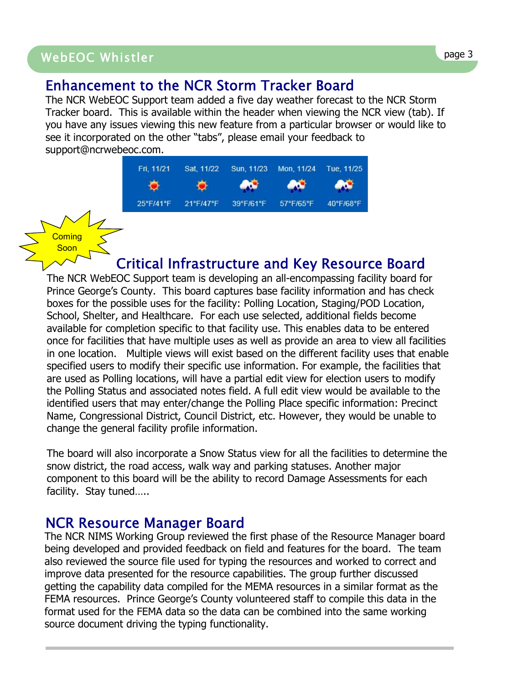### WebEOC Whistler Page 3 WebEOC Whistler page 3

#### Enhancement to the NCR Storm Tracker Board

The NCR WebEOC Support team added a five day weather forecast to the NCR Storm Tracker board. This is available within the header when viewing the NCR view (tab). If you have any issues viewing this new feature from a particular browser or would like to see it incorporated on the other "tabs", please email your feedback to support@ncrwebeoc.com.

| Fri, 11/21 | Sat, 11/22 | Sun, 11/23     | Mon. 11/24 | Tue, 11/25 |
|------------|------------|----------------|------------|------------|
|            |            | <b>ANGELIA</b> | <b>AGE</b> |            |
| 25°F/41°F  | 21°F/47°F  | 39°F/61°F      | 57°F/65°F  | 40°F/68°F  |

**Coming** Soon

#### Critical Infrastructure and Key Resource Board

The NCR WebEOC Support team is developing an all-encompassing facility board for Prince George's County. This board captures base facility information and has check boxes for the possible uses for the facility: Polling Location, Staging/POD Location, School, Shelter, and Healthcare. For each use selected, additional fields become available for completion specific to that facility use. This enables data to be entered once for facilities that have multiple uses as well as provide an area to view all facilities in one location. Multiple views will exist based on the different facility uses that enable specified users to modify their specific use information. For example, the facilities that are used as Polling locations, will have a partial edit view for election users to modify the Polling Status and associated notes field. A full edit view would be available to the identified users that may enter/change the Polling Place specific information: Precinct Name, Congressional District, Council District, etc. However, they would be unable to change the general facility profile information.

The board will also incorporate a Snow Status view for all the facilities to determine the snow district, the road access, walk way and parking statuses. Another major component to this board will be the ability to record Damage Assessments for each facility. Stay tuned.....

#### NCR Resource Manager Board

The NCR NIMS Working Group reviewed the first phase of the Resource Manager board being developed and provided feedback on field and features for the board. The team also reviewed the source file used for typing the resources and worked to correct and improve data presented for the resource capabilities. The group further discussed getting the capability data compiled for the MEMA resources in a similar format as the FEMA resources. Prince George's County volunteered staff to compile this data in the format used for the FEMA data so the data can be combined into the same working source document driving the typing functionality.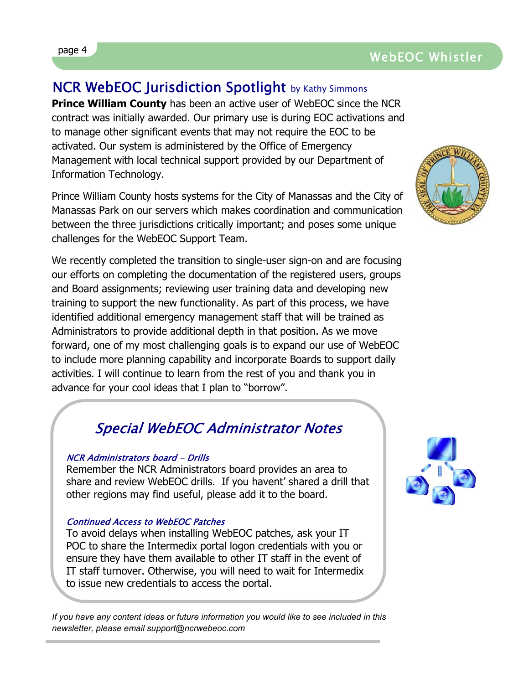## NCR WebEOC Jurisdiction Spotlight by Kathy Simmons

**Prince William County** has been an active user of WebEOC since the NCR contract was initially awarded. Our primary use is during EOC activations and to manage other significant events that may not require the EOC to be activated. Our system is administered by the Office of Emergency Management with local technical support provided by our Department of Information Technology.

Prince William County hosts systems for the City of Manassas and the City of Manassas Park on our servers which makes coordination and communication between the three jurisdictions critically important; and poses some unique challenges for the WebEOC Support Team.

We recently completed the transition to single-user sign-on and are focusing our efforts on completing the documentation of the registered users, groups and Board assignments; reviewing user training data and developing new training to support the new functionality. As part of this process, we have identified additional emergency management staff that will be trained as Administrators to provide additional depth in that position. As we move forward, one of my most challenging goals is to expand our use of WebEOC to include more planning capability and incorporate Boards to support daily activities. I will continue to learn from the rest of you and thank you in advance for your cool ideas that I plan to "borrow".

## Special WebEOC Administrator Notes

#### NCR Administrators board - Drills

Remember the NCR Administrators board provides an area to share and review WebEOC drills. If you havent' shared a drill that other regions may find useful, please add it to the board.

#### Continued Access to WebEOC Patches

To avoid delays when installing WebEOC patches, ask your IT POC to share the Intermedix portal logon credentials with you or ensure they have them available to other IT staff in the event of IT staff turnover. Otherwise, you will need to wait for Intermedix to issue new credentials to access the portal.

*If you have any content ideas or future information you would like to see included in this newsletter, please email support@ncrwebeoc.com*





## page 4 WebEOC Whistler